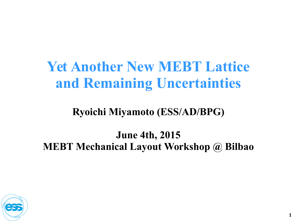# **Yet Another New MEBT Lattice and Remaining Uncertainties**

#### **Ryoichi Miyamoto (ESS/AD/BPG)**

#### **June 4th, 2015 MEBT Mechanical Layout Workshop @ Bilbao**

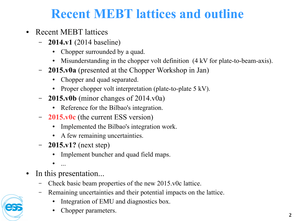### **Recent MEBT lattices and outline**

- Recent MEBT lattices
	- **2014.v1** (2014 baseline)
		- Chopper surrounded by a quad.
		- Misunderstanding in the chopper volt definition (4 kV for plate-to-beam-axis).
	- **2015.v0a** (presented at the Chopper Workshop in Jan)
		- Chopper and quad separated.
		- Proper chopper volt interpretation (plate-to-plate 5 kV).
	- **2015.v0b** (minor changes of 2014.v0a)
		- Reference for the Bilbao's integration.
	- **2015.v0c** (the current ESS version)
		- Implemented the Bilbao's integration work.
		- A few remaining uncertainties.
	- **2015.v1?** (next step)
		- Implement buncher and quad field maps.
		- $\bullet$  ...
- In this presentation...
	- Check basic beam properties of the new 2015.v0c lattice.
	- Remaining uncertainties and their potential impacts on the lattice.
		- Integration of EMU and diagnostics box.
		- Chopper parameters.

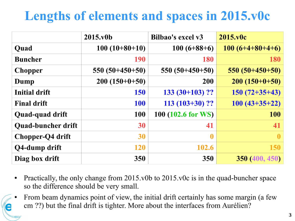# **Lengths of elements and spaces in 2015.v0c**

|                           | 2015.v0b         | Bilbao's excel v3  | 2015.v0c          |
|---------------------------|------------------|--------------------|-------------------|
| Quad                      | $100(10+80+10)$  | $100(6+88+6)$      | $100(6+4+80+4+6)$ |
| <b>Buncher</b>            | 190              | 180                | <b>180</b>        |
| <b>Chopper</b>            | $550(50+450+50)$ | $550(50+450+50)$   | $550(50+450+50)$  |
| Dump                      | $200(150+0+50)$  | 200                | $200(150+0+50)$   |
| <b>Initial drift</b>      | <b>150</b>       | $133(30+103)?$     | $150(72+35+43)$   |
| <b>Final drift</b>        | <b>100</b>       | $113(103+30)?$     | $100(43+35+22)$   |
| Quad-quad drift           | 100              | 100 (102.6 for WS) | <b>100</b>        |
| <b>Quad-buncher drift</b> | 30               | 41                 | 41                |
| Chopper-Q4 drift          | 30               | $\boldsymbol{0}$   | $\mathbf{0}$      |
| Q4-dump drift             | <b>120</b>       | 102.6              | <b>150</b>        |
| Diag box drift            | 350              | 350                | 350 (400, 450)    |

- Practically, the only change from  $2015$ .v0b to  $2015$ .v0c is in the quad-buncher space so the difference should be very small.
- From beam dynamics point of view, the initial drift certainly has some margin (a few cm ??) but the final drift is tighter. More about the interfaces from Aurélien?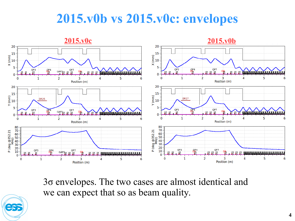#### **2015.v0b vs 2015.v0c: envelopes**



3σ envelopes. The two cases are almost identical and we can expect that so as beam quality.

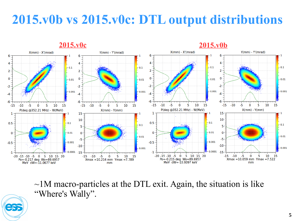#### **2015.v0b vs 2015.v0c: DTL output distributions**



 $\sim$ 1M macro-particles at the DTL exit. Again, the situation is like "Where's Wally".

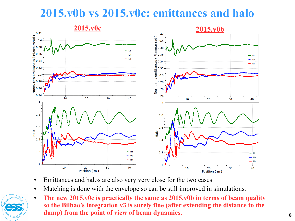#### **2015.v0b vs 2015.v0c: emittances and halo**



- Emittances and halos are also very very close for the two cases.
- Matching is done with the envelope so can be still improved in simulations.
- The new 2015.v0c is practically the same as 2015.v0b in terms of beam quality **so the Bilbao's integration v3 is surely fine (after extending the distance to the dump) from the point of view of beam dynamics.**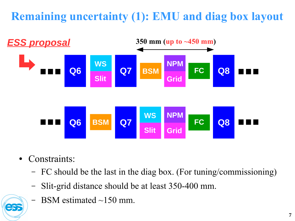#### **Remaining uncertainty (1): EMU and diag box layout**



- Constraints:
	- FC should be the last in the diag box. (For tuning/commissioning)
	- Slit-grid distance should be at least 350-400 mm.
	- $-$  BSM estimated  $\sim$ 150 mm.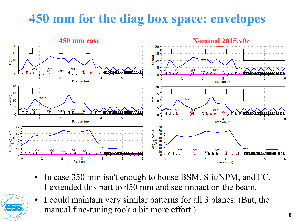## **450 mm for the diag box space: envelopes**



- In case 350 mm isn't enough to house BSM, Slit/NPM, and FC, I extended this part to 450 mm and see impact on the beam.
- I could maintain very similar patterns for all 3 planes. (But, the manual fine-tuning took a bit more effort.)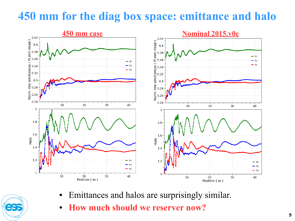#### **450 mm for the diag box space: emittance and halo**



- Emittances and halos are surprisingly similar.
	- **How much should we reserver now?**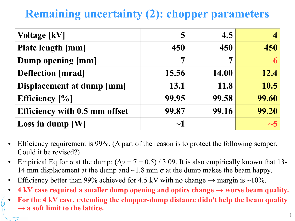#### **Remaining uncertainty (2): chopper parameters**

| <b>Voltage [kV]</b>                  | 5        | 4.5          |       |
|--------------------------------------|----------|--------------|-------|
| <b>Plate length [mm]</b>             | 450      | 450          | 450   |
| Dump opening [mm]                    |          | 7            | 6     |
| <b>Deflection</b> [mrad]             | 15.56    | <b>14.00</b> | 12.4  |
| Displacement at dump [mm]            | 13.1     | 11.8         | 10.5  |
| <b>Efficiency</b> [%]                | 99.95    | 99.58        | 99.60 |
| <b>Efficiency with 0.5 mm offset</b> | 99.87    | 99.16        | 99.20 |
| Loss in dump $[W]$                   | $\sim$ 1 |              |       |

- Efficiency requirement is 99%. (A part of the reason is to protect the following scraper. Could it be revised?)
- Empirical Eq for  $\sigma$  at the dump:  $(\Delta y 7 0.5) / 3.09$ . It is also empirically known that 13-14 mm displacement at the dump and  $\sim$ 1.8 mm  $\sigma$  at the dump makes the beam happy.
- Efficiency better than 99% achieved for 4.5 kV with no change  $\rightarrow$  margin is ~10%.
- $4 \text{ kV}$  case required a smaller dump opening and optics change  $\rightarrow$  worse beam quality.
- For the 4 kV case, extending the chopper-dump distance didn't help the beam quality **→ a soft limit to the lattice.**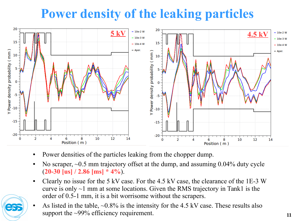# **Power density of the leaking particles**



- Power densities of the particles leaking from the chopper dump.
- No scraper,  $\sim 0.5$  mm trajectory offset at the dump, and assuming 0.04% duty cycle (**20-30 [us] / 2.86 [ms] \* 4%**).
- Clearly no issue for the 5 kV case. For the 4.5 kV case, the clearance of the 1E-3 W curve is only  $\sim$ 1 mm at some locations. Given the RMS trajectory in Tank1 is the order of 0.5-1 mm, it is a bit worrisome without the scrapers.



As listed in the table,  $\sim 0.8\%$  is the intensity for the 4.5 kV case. These results also support the ~99% efficiency requirement.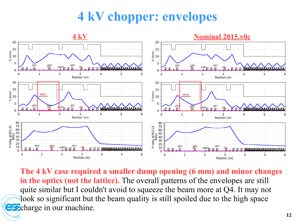## **4 kV chopper: envelopes**



**The 4 kV case required a smaller dump opening (6 mm) and minor changes in the optics (not the lattice).** The overall patterns of the envelopes are still quite similar but I couldn't avoid to squeeze the beam more at Q4. It may not look so significant but the beam quality is still spoiled due to the high space  $\bigodot$  charge in our machine.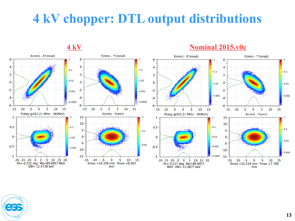## **4 kV chopper: DTL output distributions**

**4 kV Nominal 2015.v0c** $X(mm) - X'(mrad)$  $Y(mm) - Y'(mrad)$  $X(mm) - X'(mrad)$  $Y(mm) - Y'(mrad)$ 6 6 6  $4 \boldsymbol{\Lambda}$  $\boldsymbol{\varDelta}$ Δ  $-0.1$  $-0.1$  $\vert$  = 0.1  $-0.1$  $2^{\overline{-}}$  $\overline{2}$  $\overline{2}$  $\overline{2}$  $\begin{bmatrix} 1 \\ 0 \\ 1 \end{bmatrix}$  $-0.01$  $-0.01$  $\Omega$  $\Omega$  $\mathbf 0$  $-0.01$  $-0.01$  $-2$  $-2$  $-2$  $-2$  $-0.001$  $-0.001$  $-0.001$  $-0.001$ -4 -4  $-0.0001$  $-0.0001$  $-6$ -6  $-6$ -6  $-10$  $-5$  $\overline{0}$ -5 10 15  $-15 - 10$  $-5$  $\overline{5}$  $10<sup>10</sup>$  $-15$  $\mathbf 0$ 15  $-10$  $-5$  $\overline{\mathbf{0}}$  $5 \t10$  $15$  $-15$  $-10$  $-5$  $\overline{\mathbf{0}}$  $5<sub>10</sub>$ 15  $-15$ P(deg @352.21 MHz) - W(MeV)  $X(mm) - Y(mm)$ P(deg @352.21 MHz) - W(MeV)  $X(mm) - Y(mm)$  $1<sup>1</sup>$ 15 15 -1  $10 10<sub>1</sub>$  $0.5$  $-0.1$  $= 0.1$  $0.5$  $-0.1$ 5 5  $-0.1$  $\mathbf 0$ 0  $= 0.01$  $-0.01$  $\Omega$  $\mathbf 0$  $-0.01$  $-5$ -5  $-0.01$  $-0.5$  $0.001$  $-0.5$  $-0.001$  $-10$  $-10$  $-0.001$  $-0.0001 - 15$  $-1$  $-15$  $-1 +$  $-10$ -20 -15 -10 -5 0 5 10 15 20  $-15$  $-5$ 0 10 15 5 -20 -15 -10 -5 0 5 10 15 20  $-15 - 10$  $-5$  $\mathbf 0$  $5<sub>1</sub>$ 10 15 Po=-0.222 deg Wo=89.6957 MeV  $X$ max = 10.339 mm  $Y$ max = 8.003 Po=-0.217 deg Wo=89.6957  $Xmax = 10.214$  mm  $Ymax = 7.789$  $dW = -11.4738$  keV mm MeV dW=-11.0677 keV mm

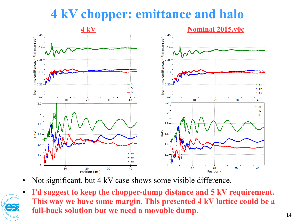## **4 kV chopper: emittance and halo**



- Not significant, but 4 kV case shows some visible difference.
- **I'd suggest to keep the chopper-dump distance and 5 kV requirement. This way we have some margin. This presented 4 kV lattice could be a fall-back solution but we need a movable dump.**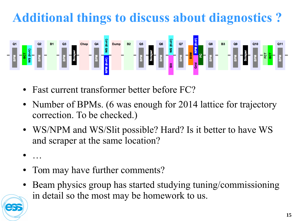# **Additional things to discuss about diagnostics ?**



- Fast current transformer better before FC?
- Number of BPMs. (6 was enough for 2014 lattice for trajectory correction. To be checked.)
- WS/NPM and WS/Slit possible? Hard? Is it better to have WS and scraper at the same location?
- …
- Tom may have further comments?
- Beam physics group has started studying tuning/commissioning in detail so the most may be homework to us.